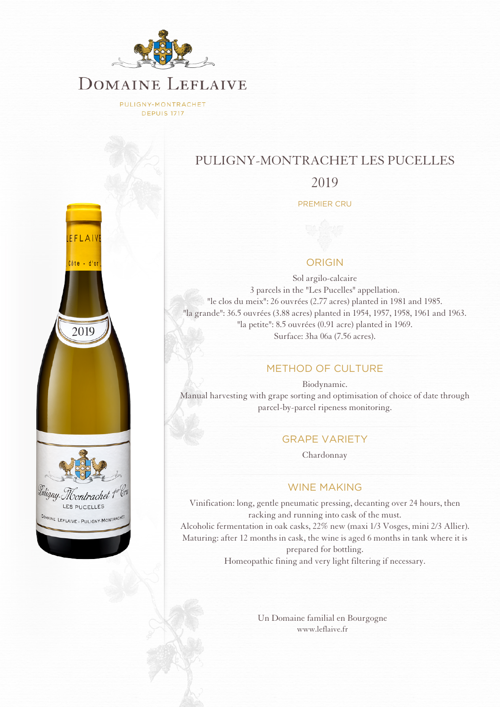

PULIGNY-MONTRACHET **DEPUIS 1717** 



# PULIGNY-MONTRACHET LES PUCELLES

2019

PREMIER CRU

## ORIGIN

Sol argilo-calcaire 3 parcels in the "Les Pucelles" appellation. "le clos du meix": 26 ouvrées (2.77 acres) planted in 1981 and 1985. "la grande": 36.5 ouvrées (3.88 acres) planted in 1954, 1957, 1958, 1961 and 1963. "la petite": 8.5 ouvrées (0.91 acre) planted in 1969. Surface: 3ha 06a (7.56 acres).

## METHOD OF CULTURE

Biodynamic. Manual harvesting with grape sorting and optimisation of choice of date through parcel-by-parcel ripeness monitoring.

## GRAPE VARIETY

Chardonnay

#### WINE MAKING

Vinification: long, gentle pneumatic pressing, decanting over 24 hours, then racking and running into cask of the must. Alcoholic fermentation in oak casks, 22% new (maxi 1/3 Vosges, mini 2/3 Allier). Maturing: after 12 months in cask, the wine is aged 6 months in tank where it is prepared for bottling. Homeopathic fining and very light filtering if necessary.

> [Un Domaine familial en Bourgogne](http://www.leflaive.fr) [www.leflaive.fr](http://www.leflaive.fr)